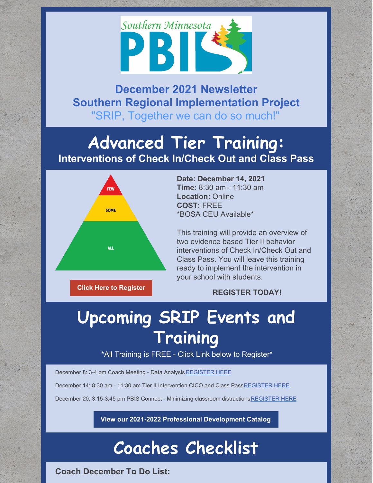

**December 2021 Newsletter Southern Regional Implementation Project** "SRIP, Together we can do so much!"

## **Advanced Tier Training: Interventions of Check In/Check Out and Class Pass**



**Click Here to [Register](https://socrates.zoom.us/meeting/register/tJMqcuqopjwjG93FDqgM6XMbVKQAizBvLaQD)**

**Date: December 14, 2021 Time:** 8:30 am - 11:30 am **Location:** Online **COST:** FREE \*BOSA CEU Available\*

This training will provide an overview of two evidence based Tier II behavior interventions of Check In/Check Out and Class Pass. You will leave this training ready to implement the intervention in your school with students.

### **REGISTER TODAY!**

# **Upcoming SRIP Events and Training**

\*All Training is FREE - Click Link below to Register\*

December 8: 3-4 pm Coach Meeting - Data Analysis [REGISTER](https://socrates.zoom.us/meeting/register/tJArc-qgqTMrE9AmKMm38a1OCVj1yvc9g3uT) HERE

December 14: 8:30 am - 11:30 am Tier II Intervention CICO and Class Pas[sREGISTER](https://socrates.zoom.us/meeting/register/tJMqcuqopjwjG93FDqgM6XMbVKQAizBvLaQD) HERE

December 20: 3:15-3:45 pm PBIS Connect - Minimizing classroom distraction[sREGISTER](https://socrates.zoom.us/meeting/register/tJcuf--vqzIpHNd2H4eFFk5p2FiJP8YKwy4j) HERE

**View our 2021-2022 Professional [Development](https://drive.google.com/file/d/1wqxM0Sfi7me_KC8agcFvTbBoq1ivgtyd/view?usp=sharing) Catalog**

# **Coaches Checklist**

**Coach December To Do List:**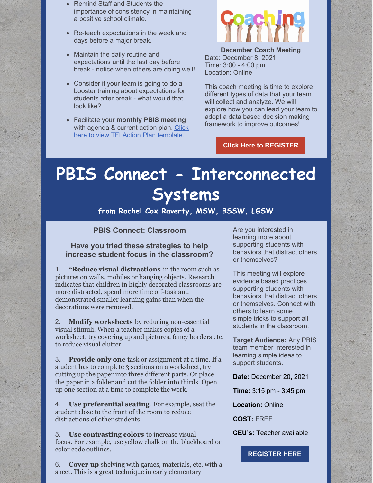- Remind Staff and Students the importance of consistency in maintaining a positive school climate.
- Re-teach expectations in the week and days before a major break.
- Maintain the daily routine and expectations until the last day before break - notice when others are doing well!
- Consider if your team is going to do a booster training about expectations for students after break - what would that look like?
- Facilitate your **monthly PBIS meeting** with agenda & current action plan. Click here to view TFI Action Plan [template.](https://docs.google.com/document/d/1iw3rLVnVfS95mOk0EuQM1nvGtcAKCxvNuQvifWzT1Rw/edit?usp=sharing)



**December Coach Meeting** Date: December 8, 2021 Time: 3:00 - 4:00 pm Location: Online

This coach meeting is time to explore different types of data that your team will collect and analyze. We will explore how you can lead your team to adopt a data based decision making framework to improve outcomes!

### **Click Here to [REGISTER](https://socrates.zoom.us/meeting/register/tJArc-qgqTMrE9AmKMm38a1OCVj1yvc9g3uT)**

## **PBIS Connect - Interconnected Systems**

**from Rachel Cox Raverty, MSW, BSSW, LGSW**

#### **PBIS Connect: Classroom**

**Have you tried these strategies to help increase student focus in the classroom?**

1. **"Reduce visual distractions** in the room such as pictures on walls, mobiles or hanging objects. Research indicates that children in highly decorated classrooms are more distracted, spend more time off-task and demonstrated smaller learning gains than when the decorations were removed.

2. **Modify worksheets** by reducing non-essential visual stimuli. When a teacher makes copies of a worksheet, try covering up and pictures, fancy borders etc. to reduce visual clutter.

3. **Provide only one** task or assignment at a time. If a student has to complete 3 sections on a worksheet, try cutting up the paper into three different parts. Or place the paper in a folder and cut the folder into thirds. Open up one section at a time to complete the work.

4. **Use preferential seating**. For example, seat the student close to the front of the room to reduce distractions of other students.

5. **Use contrasting colors** to increase visual focus. For example, use yellow chalk on the blackboard or color code outlines.

6. **Cover up** shelving with games, materials, etc. with a sheet. This is a great technique in early elementary

Are you interested in learning more about supporting students with behaviors that distract others or themselves?

This meeting will explore evidence based practices supporting students with behaviors that distract others or themselves. Connect with others to learn some simple tricks to support all students in the classroom.

**Target Audience:** Any PBIS team member interested in learning simple ideas to support students.

**Date:** December 20, 2021

**Time:** 3:15 pm - 3:45 pm

**Location:** Online

**COST:** FREE

**CEU's:** Teacher available

**[REGISTER](https://socrates.zoom.us/meeting/register/tJcuf--vqzIpHNd2H4eFFk5p2FiJP8YKwy4j) HERE**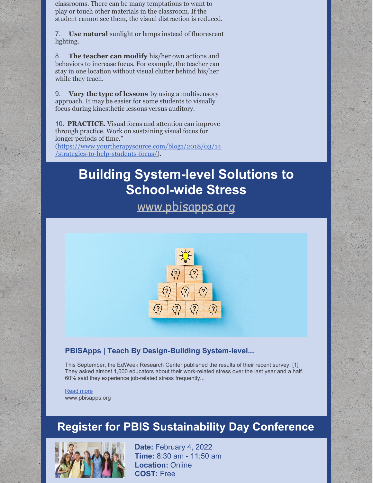classrooms. There can be many temptations to want to play or touch other materials in the classroom. If the student cannot see them, the visual distraction is reduced.

7. **Use natural** sunlight or lamps instead of fluorescent lighting.

8. **The teacher can modify** his/her own actions and behaviors to increase focus. For example, the teacher can stay in one location without visual clutter behind his/her while they teach.

9. **Vary the type of lessons** by using a multisensory approach. It may be easier for some students to visually focus during kinesthetic lessons versus auditory.

10. **PRACTICE.** Visual focus and attention can improve through practice. Work on sustaining visual focus for longer periods of time." [\(https://www.yourtherapysource.com/blog1/2018/03/14](https://www.yourtherapysource.com/blog1/2018/03/14/strategies-to-help-students-focus/)

/strategies-to-help-students-focus/).

## **Building System-level Solutions to School-wide Stress**

[www.pbisapps.org](http://www.pbisapps.org)



### **PBISApps | Teach By Design-Building System-level...**

This September, the EdWeek Research Center published the results of their recent survey. [1] They asked almost 1,000 educators about their work-related stress over the last year and a half. 60% said they experience job-related stress frequently...

[Read](https://www.pbisapps.org/articles/building-system-level-solutions-to-school-wide-stress) more www.pbisapps.org

### **Register for PBIS Sustainability Day Conference**



**Date:** February 4, 2022 **Time:** 8:30 am - 11:50 am **Location:** Online **COST:** Free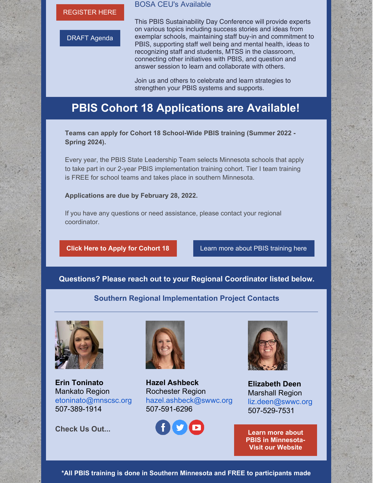#### [REGISTER](https://socrates.zoom.us/meeting/register/tJUpd-mprjIoHN1L6cefJSryZJInzvu890dg) HERE

DRAFT [Agenda](https://docs.google.com/document/d/1nojTx3VtntgYTzXtXNIi8wwIHKFJLpi7kPUNmTaFUCk/edit?usp=sharing)

### BOSA CEU's Available

This PBIS Sustainability Day Conference will provide experts on various topics including success stories and ideas from exemplar schools, maintaining staff buy-in and commitment to PBIS, supporting staff well being and mental health, ideas to recognizing staff and students, MTSS in the classroom, connecting other initiatives with PBIS, and question and answer session to learn and collaborate with others.

Join us and others to celebrate and learn strategies to strengthen your PBIS systems and supports.

### **PBIS Cohort 18 Applications are Available!**

**Teams can apply for Cohort 18 School-Wide PBIS training (Summer 2022 - Spring 2024).**

Every year, the PBIS State Leadership Team selects Minnesota schools that apply to take part in our 2-year PBIS implementation training cohort. Tier I team training is FREE for school teams and takes place in southern Minnesota.

**Applications are due by February 28, 2022.**

If you have any questions or need assistance, please contact your regional coordinator.

**Click Here to Apply for [Cohort](http://s.alchemer.com/s3/PBIS-Cohort-18) 18** Learn more about PBIS [training](http://www.pbismn.org/getting-started/application-for-school-training.php) here

**Questions? Please reach out to your Regional Coordinator listed below.**

### **Southern Regional Implementation Project Contacts**



**Erin Toninato** Mankato Region [etoninato@mnscsc.org](mailto:etoninato@mnscsc.org) 507-389-1914



**Hazel Ashbeck** Rochester Region [hazel.ashbeck@swwc.org](mailto:hazel.ashbeck@swwc.org) 507-591-6296





**Elizabeth Deen** Marshall Region [liz.deen@swwc.org](mailto:liz.deen@swwc.org) 507-529-7531

**PBIS in [Minnesota-](http://pbismn.org/)Visit our Website**

**\*All PBIS training is done in Southern Minnesota and FREE to participants made**